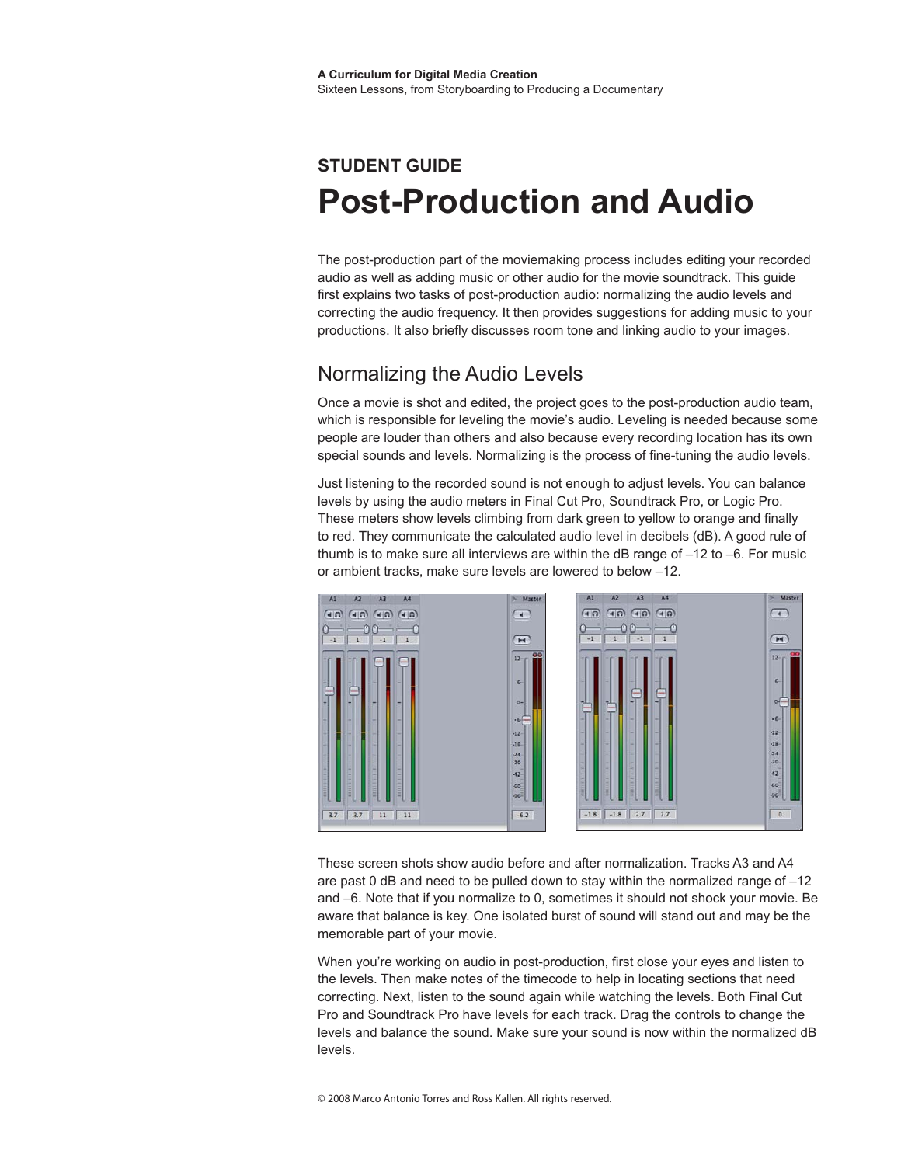# **Student Guide Post-Production and Audio**

The post-production part of the moviemaking process includes editing your recorded audio as well as adding music or other audio for the movie soundtrack. This guide first explains two tasks of post-production audio: normalizing the audio levels and correcting the audio frequency. It then provides suggestions for adding music to your productions. It also briefly discusses room tone and linking audio to your images.

# Normalizing the Audio Levels

Once a movie is shot and edited, the project goes to the post-production audio team, which is responsible for leveling the movie's audio. Leveling is needed because some people are louder than others and also because every recording location has its own special sounds and levels. Normalizing is the process of fine-tuning the audio levels.

Just listening to the recorded sound is not enough to adjust levels. You can balance levels by using the audio meters in Final Cut Pro, Soundtrack Pro, or Logic Pro. These meters show levels climbing from dark green to yellow to orange and finally to red. They communicate the calculated audio level in decibels (dB). A good rule of thumb is to make sure all interviews are within the dB range of  $-12$  to  $-6$ . For music or ambient tracks, make sure levels are lowered to below –12.



These screen shots show audio before and after normalization. Tracks A3 and A4 are past 0 dB and need to be pulled down to stay within the normalized range of  $-12$ and –6. Note that if you normalize to 0, sometimes it should not shock your movie. Be aware that balance is key. One isolated burst of sound will stand out and may be the memorable part of your movie.

When you're working on audio in post-production, first close your eyes and listen to the levels. Then make notes of the timecode to help in locating sections that need correcting. Next, listen to the sound again while watching the levels. Both Final Cut Pro and Soundtrack Pro have levels for each track. Drag the controls to change the levels and balance the sound. Make sure your sound is now within the normalized dB levels.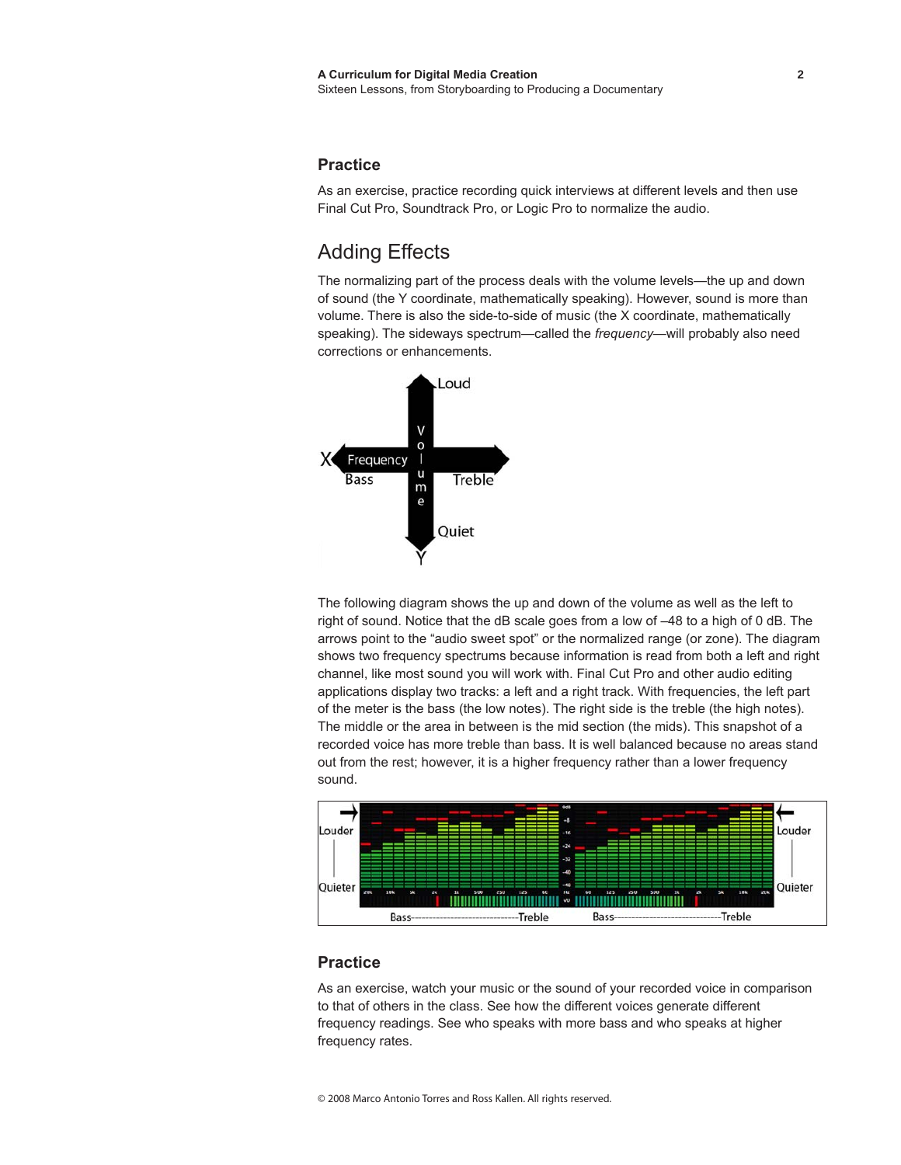### **Practice**

As an exercise, practice recording quick interviews at different levels and then use Final Cut Pro, Soundtrack Pro, or Logic Pro to normalize the audio.

### Adding Effects

The normalizing part of the process deals with the volume levels—the up and down of sound (the Y coordinate, mathematically speaking). However, sound is more than volume. There is also the side-to-side of music (the X coordinate, mathematically speaking). The sideways spectrum—called the *frequency*—will probably also need corrections or enhancements.



The following diagram shows the up and down of the volume as well as the left to right of sound. Notice that the dB scale goes from a low of –48 to a high of 0 dB. The arrows point to the "audio sweet spot" or the normalized range (or zone). The diagram shows two frequency spectrums because information is read from both a left and right channel, like most sound you will work with. Final Cut Pro and other audio editing applications display two tracks: a left and a right track. With frequencies, the left part of the meter is the bass (the low notes). The right side is the treble (the high notes). The middle or the area in between is the mid section (the mids). This snapshot of a recorded voice has more treble than bass. It is well balanced because no areas stand out from the rest; however, it is a higher frequency rather than a lower frequency sound.



#### **Practice**

As an exercise, watch your music or the sound of your recorded voice in comparison to that of others in the class. See how the different voices generate different frequency readings. See who speaks with more bass and who speaks at higher frequency rates.

© 2008 Marco Antonio Torres and Ross Kallen. All rights reserved.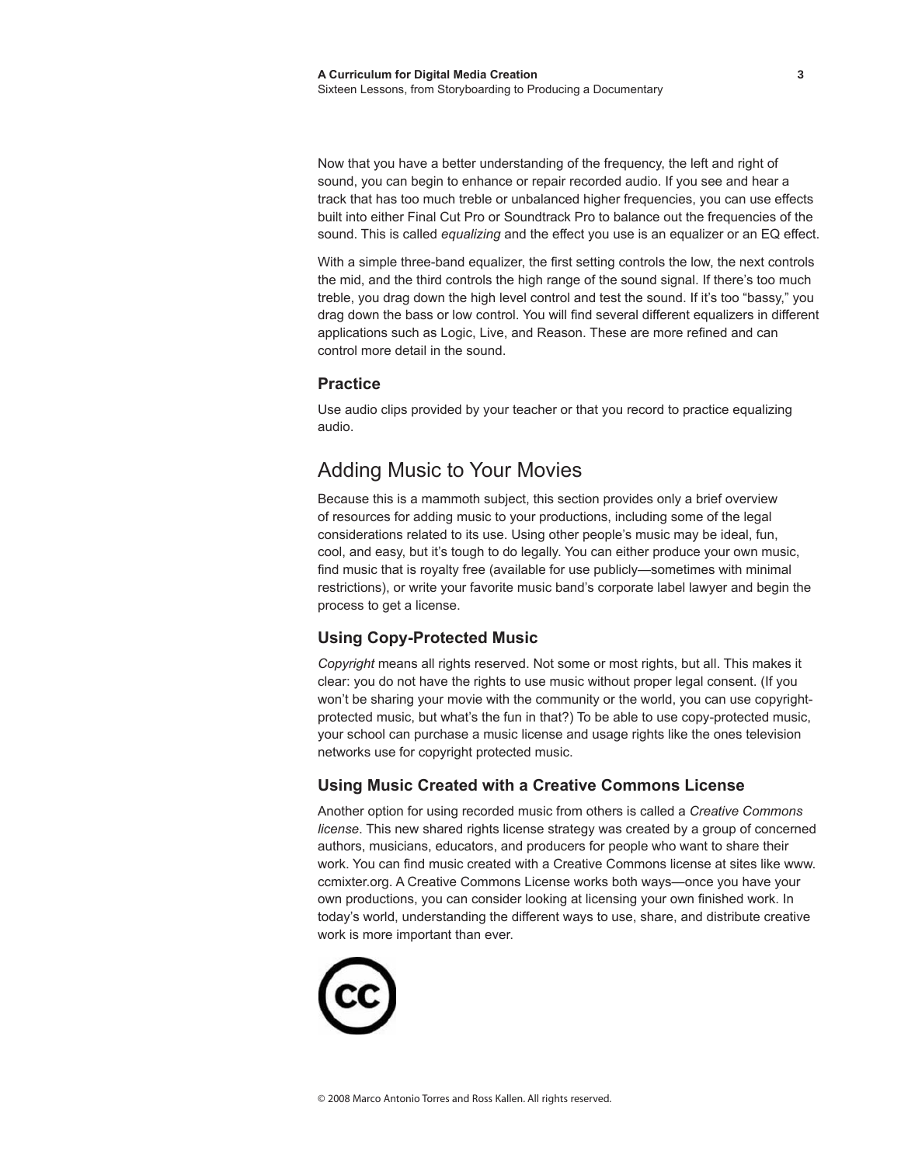Now that you have a better understanding of the frequency, the left and right of sound, you can begin to enhance or repair recorded audio. If you see and hear a track that has too much treble or unbalanced higher frequencies, you can use effects built into either Final Cut Pro or Soundtrack Pro to balance out the frequencies of the sound. This is called *equalizing* and the effect you use is an equalizer or an EQ effect.

With a simple three-band equalizer, the first setting controls the low, the next controls the mid, and the third controls the high range of the sound signal. If there's too much treble, you drag down the high level control and test the sound. If it's too "bassy," you drag down the bass or low control. You will find several different equalizers in different applications such as Logic, Live, and Reason. These are more refined and can control more detail in the sound.

#### **Practice**

Use audio clips provided by your teacher or that you record to practice equalizing audio.

# Adding Music to Your Movies

Because this is a mammoth subject, this section provides only a brief overview of resources for adding music to your productions, including some of the legal considerations related to its use. Using other people's music may be ideal, fun, cool, and easy, but it's tough to do legally. You can either produce your own music, find music that is royalty free (available for use publicly—sometimes with minimal restrictions), or write your favorite music band's corporate label lawyer and begin the process to get a license.

### **Using Copy-Protected Music**

*Copyright* means all rights reserved. Not some or most rights, but all. This makes it clear: you do not have the rights to use music without proper legal consent. (If you won't be sharing your movie with the community or the world, you can use copyrightprotected music, but what's the fun in that?) To be able to use copy-protected music, your school can purchase a music license and usage rights like the ones television networks use for copyright protected music.

### **Using Music Created with a Creative Commons License**

Another option for using recorded music from others is called a *Creative Commons license*. This new shared rights license strategy was created by a group of concerned authors, musicians, educators, and producers for people who want to share their work. You can find music created with a Creative Commons license at sites like www. ccmixter.org. A Creative Commons License works both ways—once you have your own productions, you can consider looking at licensing your own finished work. In today's world, understanding the different ways to use, share, and distribute creative work is more important than ever.

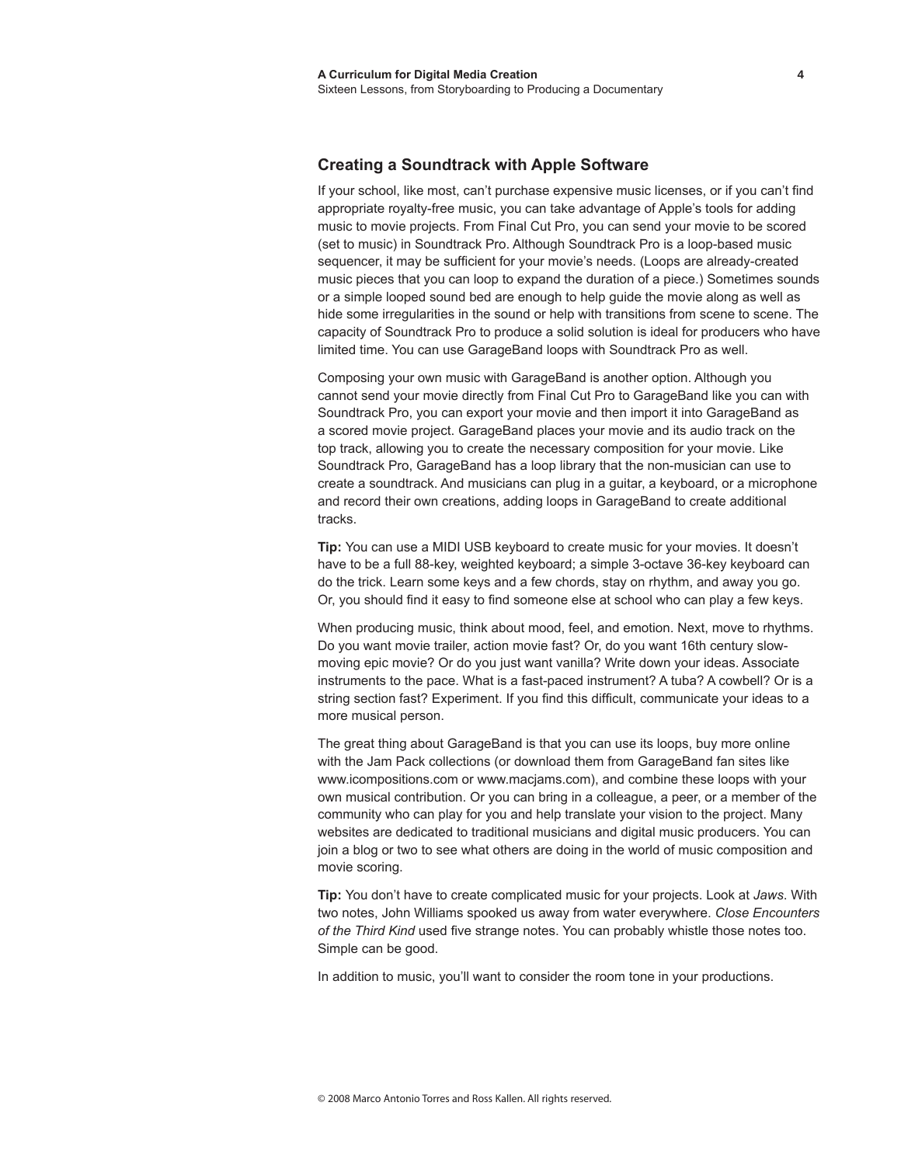#### **Creating a Soundtrack with Apple Software**

If your school, like most, can't purchase expensive music licenses, or if you can't find appropriate royalty-free music, you can take advantage of Apple's tools for adding music to movie projects. From Final Cut Pro, you can send your movie to be scored (set to music) in Soundtrack Pro. Although Soundtrack Pro is a loop-based music sequencer, it may be sufficient for your movie's needs. (Loops are already-created music pieces that you can loop to expand the duration of a piece.) Sometimes sounds or a simple looped sound bed are enough to help guide the movie along as well as hide some irregularities in the sound or help with transitions from scene to scene. The capacity of Soundtrack Pro to produce a solid solution is ideal for producers who have limited time. You can use GarageBand loops with Soundtrack Pro as well.

Composing your own music with GarageBand is another option. Although you cannot send your movie directly from Final Cut Pro to GarageBand like you can with Soundtrack Pro, you can export your movie and then import it into GarageBand as a scored movie project. GarageBand places your movie and its audio track on the top track, allowing you to create the necessary composition for your movie. Like Soundtrack Pro, GarageBand has a loop library that the non-musician can use to create a soundtrack. And musicians can plug in a guitar, a keyboard, or a microphone and record their own creations, adding loops in GarageBand to create additional tracks.

**Tip:** You can use a MIDI USB keyboard to create music for your movies. It doesn't have to be a full 88-key, weighted keyboard; a simple 3-octave 36-key keyboard can do the trick. Learn some keys and a few chords, stay on rhythm, and away you go. Or, you should find it easy to find someone else at school who can play a few keys.

When producing music, think about mood, feel, and emotion. Next, move to rhythms. Do you want movie trailer, action movie fast? Or, do you want 16th century slowmoving epic movie? Or do you just want vanilla? Write down your ideas. Associate instruments to the pace. What is a fast-paced instrument? A tuba? A cowbell? Or is a string section fast? Experiment. If you find this difficult, communicate your ideas to a more musical person.

The great thing about GarageBand is that you can use its loops, buy more online with the Jam Pack collections (or download them from GarageBand fan sites like www.icompositions.com or www.macjams.com), and combine these loops with your own musical contribution. Or you can bring in a colleague, a peer, or a member of the community who can play for you and help translate your vision to the project. Many websites are dedicated to traditional musicians and digital music producers. You can join a blog or two to see what others are doing in the world of music composition and movie scoring.

**Tip:** You don't have to create complicated music for your projects. Look at *Jaws*. With two notes, John Williams spooked us away from water everywhere. *Close Encounters of the Third Kind* used five strange notes. You can probably whistle those notes too. Simple can be good.

In addition to music, you'll want to consider the room tone in your productions.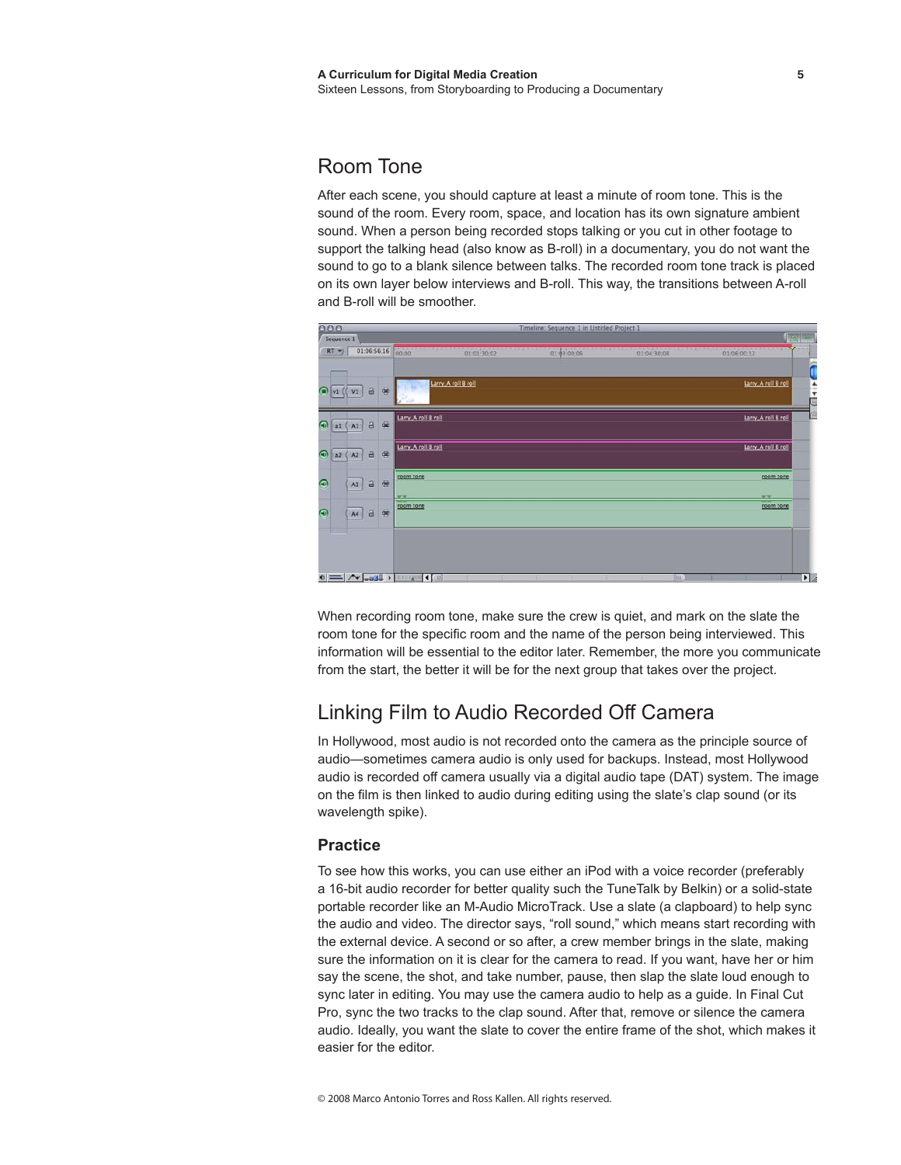## Room Tone

After each scene, you should capture at least a minute of room tone. This is the sound of the room. Every room, space, and location has its own signature ambient sound. When a person being recorded stops talking or you cut in other footage to support the talking head (also know as B-roll) in a documentary, you do not want the sound to go to a blank silence between talks. The recorded room tone track is placed on its own layer below interviews and B-roll. This way, the transitions between A-roll and B-roll will be smoother.



When recording room tone, make sure the crew is quiet, and mark on the slate the room tone for the specific room and the name of the person being interviewed. This information will be essential to the editor later. Remember, the more you communicate from the start, the better it will be for the next group that takes over the project.

# Linking Film to Audio Recorded Off Camera

In Hollywood, most audio is not recorded onto the camera as the principle source of audio—sometimes camera audio is only used for backups. Instead, most Hollywood audio is recorded off camera usually via a digital audio tape (DAT) system. The image on the film is then linked to audio during editing using the slate's clap sound (or its wavelength spike).

### **Practice**

To see how this works, you can use either an iPod with a voice recorder (preferably a 16-bit audio recorder for better quality such the TuneTalk by Belkin) or a solid-state portable recorder like an M-Audio MicroTrack. Use a slate (a clapboard) to help sync the audio and video. The director says, "roll sound," which means start recording with the external device. A second or so after, a crew member brings in the slate, making sure the information on it is clear for the camera to read. If you want, have her or him say the scene, the shot, and take number, pause, then slap the slate loud enough to sync later in editing. You may use the camera audio to help as a guide. In Final Cut Pro, sync the two tracks to the clap sound. After that, remove or silence the camera audio. Ideally, you want the slate to cover the entire frame of the shot, which makes it easier for the editor.